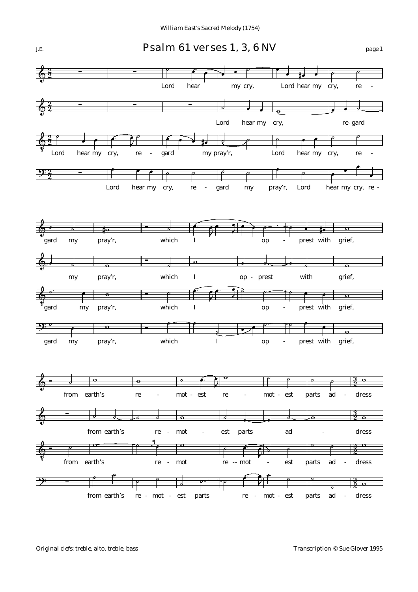

## *J.E.* Psalm 61 verses 1, 3, 6 NV